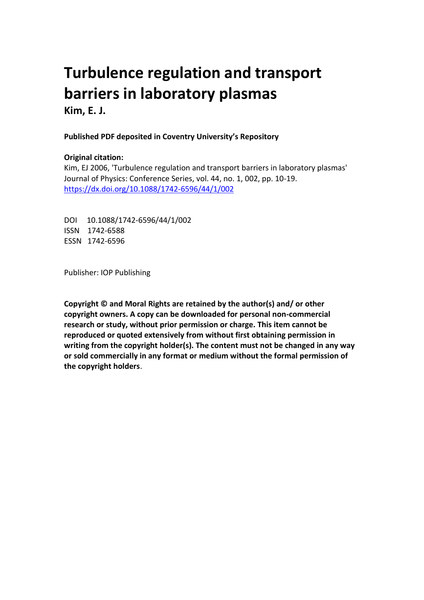# **Turbulence regulation and transport barriers in laboratory plasmas**

**Kim, E. J.**

## **Published PDF deposited in Coventry University's Repository**

## **Original citation:**

Kim, EJ 2006, 'Turbulence regulation and transport barriers in laboratory plasmas' Journal of Physics: Conference Series, vol. 44, no. 1, 002, pp. 10-19. https://dx.doi.org/10.1088/1742-6596/44/1/002

DOI 10.1088/1742-6596/44/1/002 ISSN 1742-6588 ESSN 1742-6596

Publisher: IOP Publishing

**Copyright © and Moral Rights are retained by the author(s) and/ or other copyright owners. A copy can be downloaded for personal non-commercial research or study, without prior permission or charge. This item cannot be reproduced or quoted extensively from without first obtaining permission in writing from the copyright holder(s). The content must not be changed in any way or sold commercially in any format or medium without the formal permission of the copyright holders**.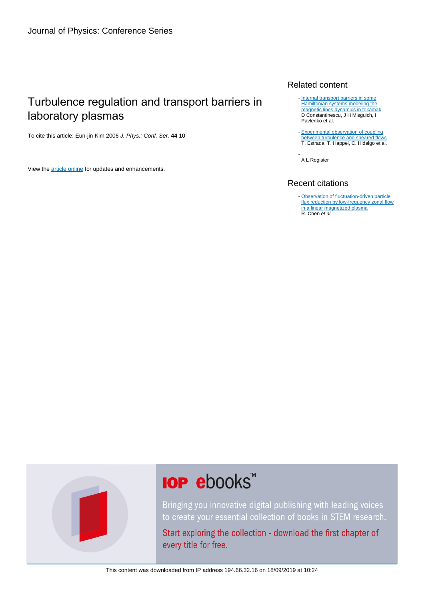# Turbulence regulation and transport barriers in laboratory plasmas

To cite this article: Eun-jin Kim 2006 J. Phys.: Conf. Ser. **44** 10

View the [article online](https://doi.org/10.1088/1742-6596/44/1/002) for updates and enhancements.

### Related content

- [Internal transport barriers in some](http://iopscience.iop.org/article/10.1088/1742-6596/7/1/020) [Hamiltonian systems modeling the](http://iopscience.iop.org/article/10.1088/1742-6596/7/1/020) [magnetic lines dynamics in tokamak](http://iopscience.iop.org/article/10.1088/1742-6596/7/1/020) D Constantinescu, J H Misguich, I Pavlenko et al.
- [Experimental observation of coupling](http://iopscience.iop.org/article/10.1209/0295-5075/92/35001) [between turbulence and sheared flows](http://iopscience.iop.org/article/10.1209/0295-5075/92/35001) T. Estrada, T. Happel, C. Hidalgo et al.

A L Rogister -

## Recent citations

- [Observation of fluctuation-driven particle](http://dx.doi.org/10.1063/1.4905860) [flux reduction by low-frequency zonal flow](http://dx.doi.org/10.1063/1.4905860) [in a linear magnetized plasma](http://dx.doi.org/10.1063/1.4905860) R. Chen et al



# **IOP ebooks**™

Bringing you innovative digital publishing with leading voices to create your essential collection of books in STEM research.

Start exploring the collection - download the first chapter of every title for free.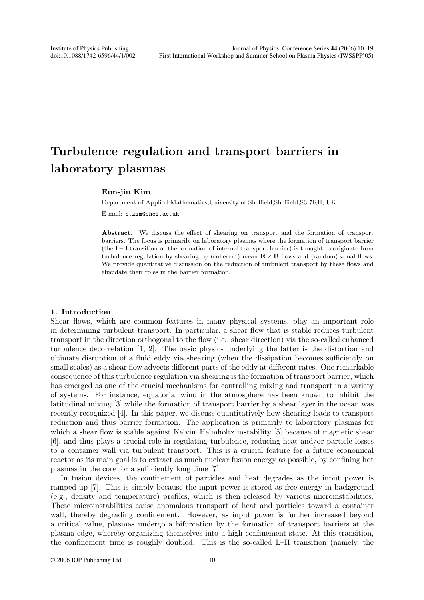# **Turbulence regulation and transport barriers in laboratory plasmas**

#### **Eun-jin Kim**

Department of Applied Mathematics,University of Sheffield,Sheffield,S3 7RH, UK E-mail: e.kim@shef.ac.uk

**Abstract.** We discuss the effect of shearing on transport and the formation of transport barriers. The focus is primarily on laboratory plasmas where the formation of transport barrier (the L–H transition or the formation of internal transport barrier) is thought to originate from turbulence regulation by shearing by (coherent) mean  $\mathbf{E} \times \mathbf{B}$  flows and (random) zonal flows. We provide quantitative discussion on the reduction of turbulent transport by these flows and elucidate their roles in the barrier formation.

#### **1. Introduction**

Shear flows, which are common features in many physical systems, play an important role in determining turbulent transport. In particular, a shear flow that is stable reduces turbulent transport in the direction orthogonal to the flow (i.e., shear direction) via the so-called enhanced turbulence decorrelation [1, 2]. The basic physics underlying the latter is the distortion and ultimate disruption of a fluid eddy via shearing (when the dissipation becomes sufficiently on small scales) as a shear flow advects different parts of the eddy at different rates. One remarkable consequence of this turbulence regulation via shearing is the formation of transport barrier, which has emerged as one of the crucial mechanisms for controlling mixing and transport in a variety of systems. For instance, equatorial wind in the atmosphere has been known to inhibit the latitudinal mixing [3] while the formation of transport barrier by a shear layer in the ocean was recently recognized [4]. In this paper, we discuss quantitatively how shearing leads to transport reduction and thus barrier formation. The application is primarily to laboratory plasmas for which a shear flow is stable against Kelvin–Helmholtz instability [5] because of magnetic shear [6], and thus plays a crucial role in regulating turbulence, reducing heat and/or particle losses to a container wall via turbulent transport. This is a crucial feature for a future economical reactor as its main goal is to extract as much nuclear fusion energy as possible, by confining hot plasmas in the core for a sufficiently long time [7].

In fusion devices, the confinement of particles and heat degrades as the input power is ramped up [7]. This is simply because the input power is stored as free energy in background (e.g., density and temperature) profiles, which is then released by various microinstabilities. These microinstabilities cause anomalous transport of heat and particles toward a container wall, thereby degrading confinement. However, as input power is further increased beyond a critical value, plasmas undergo a bifurcation by the formation of transport barriers at the plasma edge, whereby organizing themselves into a high confinement state. At this transition, the confinement time is roughly doubled. This is the so-called L–H transition (namely, the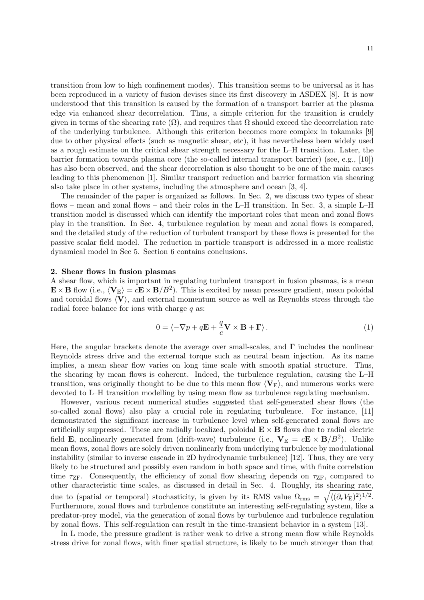transition from low to high confinement modes). This transition seems to be universal as it has been reproduced in a variety of fusion devises since its first discovery in ASDEX [8]. It is now understood that this transition is caused by the formation of a transport barrier at the plasma edge via enhanced shear decorrelation. Thus, a simple criterion for the transition is crudely given in terms of the shearing rate  $(\Omega)$ , and requires that  $\Omega$  should exceed the decorrelation rate of the underlying turbulence. Although this criterion becomes more complex in tokamaks [9] due to other physical effects (such as magnetic shear, etc), it has nevertheless been widely used as a rough estimate on the critical shear strength necessary for the L–H transition. Later, the barrier formation towards plasma core (the so-called internal transport barrier) (see, e.g., [10]) has also been observed, and the shear decorrelation is also thought to be one of the main causes leading to this phenomenon [1]. Similar transport reduction and barrier formation via shearing also take place in other systems, including the atmosphere and ocean [3, 4].

The remainder of the paper is organized as follows. In Sec. 2, we discuss two types of shear flows – mean and zonal flows – and their roles in the L–H transition. In Sec. 3, a simple L–H transition model is discussed which can identify the important roles that mean and zonal flows play in the transition. In Sec. 4, turbulence regulation by mean and zonal flows is compared, and the detailed study of the reduction of turbulent transport by these flows is presented for the passive scalar field model. The reduction in particle transport is addressed in a more realistic dynamical model in Sec 5. Section 6 contains conclusions.

#### **2. Shear flows in fusion plasmas**

A shear flow, which is important in regulating turbulent transport in fusion plasmas, is a mean  $\mathbf{E} \times \mathbf{B}$  flow (i.e.,  $\langle \mathbf{V}_{\rm E} \rangle = c\mathbf{E} \times \mathbf{B}/B^2$ ). This is excited by mean pressure gradient, mean poloidal and toroidal flows  $\langle V \rangle$ , and external momentum source as well as Reynolds stress through the radial force balance for ions with charge  $q$  as:

$$
0 = \langle -\nabla p + q\mathbf{E} + \frac{q}{c}\mathbf{V} \times \mathbf{B} + \mathbf{\Gamma} \rangle. \tag{1}
$$

Here, the angular brackets denote the average over small-scales, and **Γ** includes the nonlinear Reynolds stress drive and the external torque such as neutral beam injection. As its name implies, a mean shear flow varies on long time scale with smooth spatial structure. Thus, the shearing by mean flows is coherent. Indeed, the turbulence regulation, causing the L–H transition, was originally thought to be due to this mean flow  $\langle V_{E} \rangle$ , and numerous works were devoted to L–H transition modelling by using mean flow as turbulence regulating mechanism.

However, various recent numerical studies suggested that self-generated shear flows (the so-called zonal flows) also play a crucial role in regulating turbulence. For instance, [11] demonstrated the significant increase in turbulence level when self-generated zonal flows are artificially suppressed. These are radially localized, poloidal  $\mathbf{E} \times \mathbf{B}$  flows due to radial electric field **E**, nonlinearly generated from (drift-wave) turbulence (i.e.,  $V_E = cE \times B/B^2$ ). Unlike mean flows, zonal flows are solely driven nonlinearly from underlying turbulence by modulational instability (similar to inverse cascade in 2D hydrodynamic turbulence) [12]. Thus, they are very likely to be structured and possibly even random in both space and time, with finite correlation time  $\tau_{\rm ZF}$ . Consequently, the efficiency of zonal flow shearing depends on  $\tau_{\rm ZF}$ , compared to other characteristic time scales, as discussed in detail in Sec. 4. Roughly, its shearing rate, due to (spatial or temporal) stochasticity, is given by its RMS value  $\Omega_{\rm rms} = \sqrt{\langle (\partial_r V_{\rm E})^2 \rangle^{1/2}}$ . Furthermore, zonal flows and turbulence constitute an interesting self-regulating system, like a predator-prey model, via the generation of zonal flows by turbulence and turbulence regulation by zonal flows. This self-regulation can result in the time-transient behavior in a system [13].

In L mode, the pressure gradient is rather weak to drive a strong mean flow while Reynolds stress drive for zonal flows, with finer spatial structure, is likely to be much stronger than that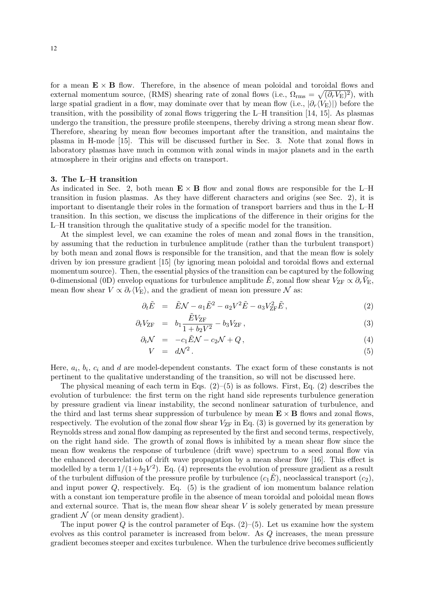for a mean  $\mathbf{E} \times \mathbf{B}$  flow. Therefore, in the absence of mean poloidal and toroidal flows and external momentum source, (RMS) shearing rate of zonal flows (i.e.,  $\Omega_{\rm rms} = \sqrt{(\partial_r V_{\rm E})^2}$ ), with large spatial gradient in a flow, may dominate over that by mean flow (i.e.,  $|\partial_r \langle V_{\rm E} \rangle|$ ) before the transition, with the possibility of zonal flows triggering the L–H transition [14, 15]. As plasmas undergo the transition, the pressure profile steenpens, thereby driving a strong mean shear flow. Therefore, shearing by mean flow becomes important after the transition, and maintains the plasma in H-mode [15]. This will be discussed further in Sec. 3. Note that zonal flows in laboratory plasmas have much in common with zonal winds in major planets and in the earth atmosphere in their origins and effects on transport.

#### **3. The L–H transition**

As indicated in Sec. 2, both mean  $\mathbf{E} \times \mathbf{B}$  flow and zonal flows are responsible for the L–H transition in fusion plasmas. As they have different characters and origins (see Sec. 2), it is important to disentangle their roles in the formation of transport barriers and thus in the L–H transition. In this section, we discuss the implications of the difference in their origins for the L–H transition through the qualitative study of a specific model for the transition.

At the simplest level, we can examine the roles of mean and zonal flows in the transition, by assuming that the reduction in turbulence amplitude (rather than the turbulent transport) by both mean and zonal flows is responsible for the transition, and that the mean flow is solely driven by ion pressure gradient [15] (by ignoring mean poloidal and toroidal flows and external momentum source). Then, the essential physics of the transition can be captured by the following 0-dimensional (0D) envelop equations for turbulence amplitude  $\tilde{E}$ , zonal flow shear  $V_{\text{ZF}} \propto \partial_r \tilde{V}_{\text{E}}$ , mean flow shear  $V \propto \partial_r \langle V_{\rm E} \rangle$ , and the gradient of mean ion pressure  $\mathcal N$  as:

$$
\partial_t \tilde{E} = \tilde{E} \mathcal{N} - a_1 \tilde{E}^2 - a_2 V^2 \tilde{E} - a_3 V_{\text{ZF}}^2 \tilde{E} \,, \tag{2}
$$

$$
\partial_t V_{\text{ZF}} = b_1 \frac{\tilde{E} V_{\text{ZF}}}{1 + b_2 V^2} - b_3 V_{\text{ZF}} , \qquad (3)
$$

$$
\partial_t \mathcal{N} = -c_1 \tilde{E} \mathcal{N} - c_2 \mathcal{N} + Q, \qquad (4)
$$

$$
V = d\mathcal{N}^2. \tag{5}
$$

Here,  $a_i$ ,  $b_i$ ,  $c_i$  and d are model-dependent constants. The exact form of these constants is not pertinent to the qualitative understanding of the transition, so will not be discussed here.

The physical meaning of each term in Eqs.  $(2)$ – $(5)$  is as follows. First, Eq.  $(2)$  describes the evolution of turbulence: the first term on the right hand side represents turbulence generation by pressure gradient via linear instability, the second nonlinear saturation of turbulence, and the third and last terms shear suppression of turbulence by mean  $\mathbf{E} \times \mathbf{B}$  flows and zonal flows, respectively. The evolution of the zonal flow shear  $V_{\text{ZF}}$  in Eq. (3) is governed by its generation by Reynolds stress and zonal flow damping as represented by the first and second terms, respectively, on the right hand side. The growth of zonal flows is inhibited by a mean shear flow since the mean flow weakens the response of turbulence (drift wave) spectrum to a seed zonal flow via the enhanced decorrelation of drift wave propagation by a mean shear flow [16]. This effect is modelled by a term  $1/(1+b_2V^2)$ . Eq. (4) represents the evolution of pressure gradient as a result of the turbulent diffusion of the pressure profile by turbulence  $(c_1E)$ , neoclassical transport  $(c_2)$ , and input power  $Q$ , respectively. Eq.  $(5)$  is the gradient of ion momentum balance relation with a constant ion temperature profile in the absence of mean toroidal and poloidal mean flows and external source. That is, the mean flow shear shear  $V$  is solely generated by mean pressure gradient  $\mathcal N$  (or mean density gradient).

The input power  $Q$  is the control parameter of Eqs.  $(2)$ –(5). Let us examine how the system evolves as this control parameter is increased from below. As Q increases, the mean pressure gradient becomes steeper and excites turbulence. When the turbulence drive becomes sufficiently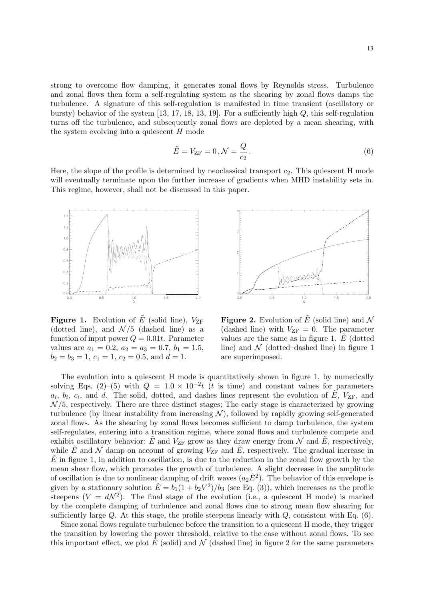strong to overcome flow damping, it generates zonal flows by Reynolds stress. Turbulence and zonal flows then form a self-regulating system as the shearing by zonal flows damps the turbulence. A signature of this self-regulation is manifested in time transient (oscillatory or bursty) behavior of the system  $[13, 17, 18, 13, 19]$ . For a sufficiently high  $Q$ , this self-regulation turns off the turbulence, and subsequently zonal flows are depleted by a mean shearing, with the system evolving into a quiescent  $H$  mode

$$
\tilde{E} = V_{\text{ZF}} = 0, \mathcal{N} = \frac{Q}{c_2}.
$$
\n
$$
(6)
$$

Here, the slope of the profile is determined by neoclassical transport  $c_2$ . This quiescent H mode will eventually terminate upon the further increase of gradients when MHD instability sets in. This regime, however, shall not be discussed in this paper.



**Figure 1.** Evolution of  $\overline{E}$  (solid line),  $V_{\text{ZF}}$ (dotted line), and  $\mathcal{N}/5$  (dashed line) as a function of input power  $Q = 0.01t$ . Parameter values are  $a_1 = 0.2$ ,  $a_2 = a_3 = 0.7$ ,  $b_1 = 1.5$ ,  $b_2 = b_3 = 1, c_1 = 1, c_2 = 0.5, \text{ and } d = 1.$ 



**Figure 2.** Evolution of  $\tilde{E}$  (solid line) and N (dashed line) with  $V_{\text{ZF}} = 0$ . The parameter values are the same as in figure 1.  $E$  (dotted line) and  $\mathcal N$  (dotted–dashed line) in figure 1 are superimposed.

The evolution into a quiescent H mode is quantitatively shown in figure 1, by numerically solving Eqs. (2)–(5) with  $Q = 1.0 \times 10^{-2}t$  (t is time) and constant values for parameters  $a_i, b_i, c_i$ , and d. The solid, dotted, and dashes lines represent the evolution of  $\tilde{E}$ ,  $V_{\text{ZF}}$ , and  $\mathcal{N}/5$ , respectively. There are three distinct stages; The early stage is characterized by growing turbulence (by linear instability from increasing  $\mathcal{N}$ ), followed by rapidly growing self-generated zonal flows. As the shearing by zonal flows becomes sufficient to damp turbulence, the system self-regulates, entering into a transition regime, where zonal flows and turbulence compete and exhibit oscillatory behavior: E and  $V_{\text{ZF}}$  grow as they draw energy from N and E, respectively, while  $\hat{E}$  and  $\hat{\mathcal{N}}$  damp on account of growing  $V_{\text{ZF}}$  and  $\hat{E}$ , respectively. The gradual increase in  $E$  in figure 1, in addition to oscillation, is due to the reduction in the zonal flow growth by the mean shear flow, which promotes the growth of turbulence. A slight decrease in the amplitude of oscillation is due to nonlinear damping of drift waves  $(a_2E^2)$ . The behavior of this envelope is given by a stationary solution  $\tilde{E} = b_1(1 + b_2V^2)/b_3$  (see Eq. (3)), which increases as the profile steepens  $(V = dN^2)$ . The final stage of the evolution (i.e., a quiescent H mode) is marked by the complete damping of turbulence and zonal flows due to strong mean flow shearing for sufficiently large Q. At this stage, the profile steepens linearly with  $Q$ , consistent with Eq.  $(6)$ .

Since zonal flows regulate turbulence before the transition to a quiescent H mode, they trigger the transition by lowering the power threshold, relative to the case without zonal flows. To see this important effect, we plot  $E$  (solid) and  $\mathcal N$  (dashed line) in figure 2 for the same parameters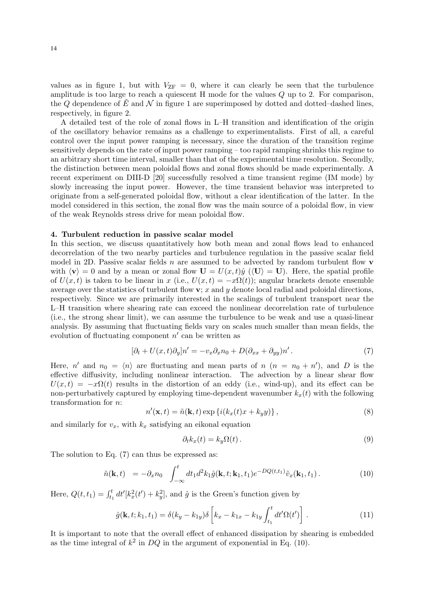values as in figure 1, but with  $V_{\text{ZF}} = 0$ , where it can clearly be seen that the turbulence amplitude is too large to reach a quiescent  $H$  mode for the values  $Q$  up to 2. For comparison, the Q dependence of E and  $\mathcal N$  in figure 1 are superimposed by dotted and dotted–dashed lines, respectively, in figure 2.

A detailed test of the role of zonal flows in L–H transition and identification of the origin of the oscillatory behavior remains as a challenge to experimentalists. First of all, a careful control over the input power ramping is necessary, since the duration of the transition regime sensitively depends on the rate of input power ramping – too rapid ramping shrinks this regime to an arbitrary short time interval, smaller than that of the experimental time resolution. Secondly, the distinction between mean poloidal flows and zonal flows should be made experimentally. A recent experiment on DIII-D [20] successfully resolved a time transient regime (IM mode) by slowly increasing the input power. However, the time transient behavior was interpreted to originate from a self-generated poloidal flow, without a clear identification of the latter. In the model considered in this section, the zonal flow was the main source of a poloidal flow, in view of the weak Reynolds stress drive for mean poloidal flow.

#### **4. Turbulent reduction in passive scalar model**

In this section, we discuss quantitatively how both mean and zonal flows lead to enhanced decorrelation of the two nearby particles and turbulence regulation in the passive scalar field model in 2D. Passive scalar fields n are assumed to be advected by random turbulent flow **v** with  $\langle v \rangle = 0$  and by a mean or zonal flow  $\mathbf{U} = U(x, t)\hat{y}$  ( $\langle \mathbf{U} \rangle = \mathbf{U}$ ). Here, the spatial profile of  $U(x, t)$  is taken to be linear in x (i.e.,  $U(x, t) = -x\Omega(t)$ ); angular brackets denote ensemble average over the statistics of turbulent flow  $\mathbf{v}$ ; x and y denote local radial and poloidal directions, respectively. Since we are primarily interested in the scalings of turbulent transport near the L–H transition where shearing rate can exceed the nonlinear decorrelation rate of turbulence (i.e., the strong shear limit), we can assume the turbulence to be weak and use a quasi-linear analysis. By assuming that fluctuating fields vary on scales much smaller than mean fields, the evolution of fluctuating component  $n'$  can be written as

$$
[\partial_t + U(x, t)\partial_y]n' = -v_x\partial_x n_0 + D(\partial_{xx} + \partial_{yy})n'.
$$
\n<sup>(7)</sup>

Here, n' and  $n_0 = \langle n \rangle$  are fluctuating and mean parts of  $n$   $(n = n_0 + n')$ , and D is the effective diffusivity, including nonlinear interaction. The advection by a linear shear flow  $U(x,t) = -x\Omega(t)$  results in the distortion of an eddy (i.e., wind-up), and its effect can be non-perturbatively captured by employing time-dependent wavenumber  $k_x(t)$  with the following transformation for n:

$$
n'(\mathbf{x},t) = \tilde{n}(\mathbf{k},t) \exp\left\{i(k_x(t)x + k_y y)\right\},\tag{8}
$$

and similarly for  $v_x$ , with  $k_x$  satisfying an eikonal equation

$$
\partial_t k_x(t) = k_y \Omega(t) \,. \tag{9}
$$

The solution to Eq. (7) can thus be expressed as:

$$
\tilde{n}(\mathbf{k},t) = -\partial_x n_0 \int_{-\infty}^t dt_1 d^2 k_1 \hat{g}(\mathbf{k},t;\mathbf{k}_1,t_1) e^{-DQ(t,t_1)} \tilde{v}_x(\mathbf{k}_1,t_1).
$$
\n(10)

Here,  $Q(t, t_1) = \int_{t_1}^t dt'[k_x^2(t') + k_y^2]$ , and  $\hat{g}$  is the Green's function given by

$$
\hat{g}(\mathbf{k}, t; k_1, t_1) = \delta(k_y - k_{1y})\delta\left[k_x - k_{1x} - k_{1y}\int_{t_1}^t dt'\Omega(t')\right].
$$
\n(11)

It is important to note that the overall effect of enhanced dissipation by shearing is embedded as the time integral of  $k^2$  in DQ in the argument of exponential in Eq. (10).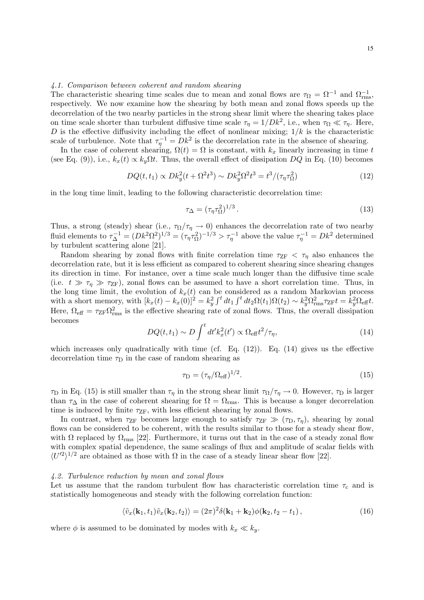#### *4.1. Comparison between coherent and random shearing*

The characteristic shearing time scales due to mean and zonal flows are  $\tau_{\Omega} = \Omega^{-1}$  and  $\Omega_{\text{rms}}^{-1}$ , respectively. We now examine how the shearing by both mean and zonal flows speeds up the decorrelation of the two nearby particles in the strong shear limit where the shearing takes place on time scale shorter than turbulent diffusive time scale  $\tau_{\eta} = 1/Dk^2$ , i.e., when  $\tau_{\Omega} \ll \tau_{\eta}$ . Here, D is the effective diffusivity including the effect of nonlinear mixing;  $1/k$  is the characteristic scale of turbulence. Note that  $\tau_{\eta}^{-1} = Dk^2$  is the decorrelation rate in the absence of shearing.

In the case of coherent shearing,  $\Omega(t) = \Omega$  is constant, with  $k_x$  linearly increasing in time t (see Eq. (9)), i.e.,  $k_x(t) \propto k_y \Omega t$ . Thus, the overall effect of dissipation  $DQ$  in Eq. (10) becomes

$$
DQ(t, t_1) \propto Dk_y^2(t + \Omega^2 t^3) \sim Dk_y^2 \Omega^2 t^3 = t^3/(\tau_\eta \tau_\Omega^2)
$$
 (12)

in the long time limit, leading to the following characteristic decorrelation time:

$$
\tau_{\Delta} = (\tau_{\eta} \tau_{\Omega}^2)^{1/3} \,. \tag{13}
$$

Thus, a strong (steady) shear (i.e.,  $\tau_{\Omega}/\tau_{\eta} \to 0$ ) enhances the decorrelation rate of two nearby fluid elements to  $\tau_{\Delta}^{-1} = (Dk^2 \Omega^2)^{1/3} = (\tau_{\eta} \tau_{\Omega}^2)^{-1/3} > \tau_{\eta}^{-1}$  above the value  $\tau_{\eta}^{-1} = Dk^2$  determined by turbulent scattering alone [21].

Random shearing by zonal flows with finite correlation time  $\tau_{ZF} < \tau_n$  also enhances the decorrelation rate, but it is less efficient as compared to coherent shearing since shearing changes its direction in time. For instance, over a time scale much longer than the diffusive time scale (i.e.  $t \gg \tau_{\eta} \gg \tau_{\text{ZF}}$ ), zonal flows can be assumed to have a short correlation time. Thus, in the long time limit, the evolution of  $k_x(t)$  can be considered as a random Markovian process with a short memory, with  $[k_x(t) - k_x(0)]^2 = k_y^2 \int^t dt_1 \int^t dt_2 \Omega(t_1) \Omega(t_2) \sim k_y^2 \Omega_{\text{rms}}^2 \tau_{\text{ZF}} t = k_y^2 \Omega_{\text{eff}} t$ . Here,  $\Omega_{\text{eff}} = \tau_{\text{ZF}} \Omega_{\text{rms}}^2$  is the effective shearing rate of zonal flows. Thus, the overall dissipation becomes

$$
DQ(t, t_1) \sim D \int^t dt' k_x^2(t') \propto \Omega_{\text{eff}} t^2 / \tau_{\eta}, \qquad (14)
$$

which increases only quadratically with time (cf. Eq.  $(12)$ ). Eq.  $(14)$  gives us the effective decorrelation time  $\tau_D$  in the case of random shearing as

$$
\tau_{\rm D} = (\tau_{\eta} / \Omega_{\rm eff})^{1/2}.
$$
\n(15)

 $\tau_D$  in Eq. (15) is still smaller than  $\tau_\eta$  in the strong shear limit  $\tau_\Omega/\tau_\eta \to 0$ . However,  $\tau_D$  is larger than  $\tau_{\Delta}$  in the case of coherent shearing for  $\Omega = \Omega_{\text{rms}}$ . This is because a longer decorrelation time is induced by finite  $\tau_{ZF}$ , with less efficient shearing by zonal flows.

In contrast, when  $\tau_{ZF}$  becomes large enough to satisfy  $\tau_{ZF} \gg (\tau_D, \tau_n)$ , shearing by zonal flows can be considered to be coherent, with the results similar to those for a steady shear flow, with  $\Omega$  replaced by  $\Omega_{\rm rms}$  [22]. Furthermore, it turns out that in the case of a steady zonal flow with complex spatial dependence, the same scalings of flux and amplitude of scalar fields with  $\langle U^2 \rangle^{1/2}$  are obtained as those with  $\Omega$  in the case of a steady linear shear flow [22].

#### *4.2. Turbulence reduction by mean and zonal flows*

Let us assume that the random turbulent flow has characteristic correlation time  $\tau_c$  and is statistically homogeneous and steady with the following correlation function:

$$
\langle \tilde{v}_x(\mathbf{k}_1, t_1) \tilde{v}_x(\mathbf{k}_2, t_2) \rangle = (2\pi)^2 \delta(\mathbf{k}_1 + \mathbf{k}_2) \phi(\mathbf{k}_2, t_2 - t_1), \qquad (16)
$$

where  $\phi$  is assumed to be dominated by modes with  $k_x \ll k_y$ .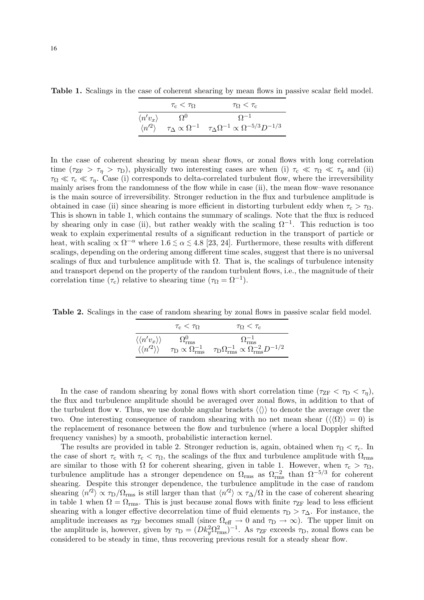**Table 1.** Scalings in the case of coherent shearing by mean flows in passive scalar field model.

|                         | $\tau_{\rm c} < \tau_{\Omega}$ | $\tau_{\Omega} < \tau_{c}$                                                                 |
|-------------------------|--------------------------------|--------------------------------------------------------------------------------------------|
| $\langle n'v_x \rangle$ | O <sup>0</sup>                 | $O^{-1}$                                                                                   |
| $\langle n'^2 \rangle$  |                                | $\tau_\Delta \propto \Omega^{-1}$ $\tau_\Delta \Omega^{-1} \propto \Omega^{-5/3} D^{-1/3}$ |

In the case of coherent shearing by mean shear flows, or zonal flows with long correlation time  $(\tau_{ZF} > \tau_{\eta} > \tau_D)$ , physically two interesting cases are when (i)  $\tau_c \ll \tau_{\Omega} \ll \tau_{\eta}$  and (ii)  $\tau_{\Omega} \ll \tau_{\text{c}} \ll \tau_{\eta}$ . Case (i) corresponds to delta-correlated turbulent flow, where the irreversibility mainly arises from the randomness of the flow while in case (ii), the mean flow–wave resonance is the main source of irreversibility. Stronger reduction in the flux and turbulence amplitude is obtained in case (ii) since shearing is more efficient in distorting turbulent eddy when  $\tau_c > \tau_{\Omega}$ . This is shown in table 1, which contains the summary of scalings. Note that the flux is reduced by shearing only in case (ii), but rather weakly with the scaling  $\Omega^{-1}$ . This reduction is too weak to explain experimental results of a significant reduction in the transport of particle or heat, with scaling  $\propto \Omega^{-\alpha}$  where 1.6  $\lesssim \alpha \lesssim 4.8$  [23, 24]. Furthermore, these results with different scalings, depending on the ordering among different time scales, suggest that there is no universal scalings of flux and turbulence amplitude with  $\Omega$ . That is, the scalings of turbulence intensity and transport depend on the property of the random turbulent flows, i.e., the magnitude of their correlation time ( $\tau_c$ ) relative to shearing time ( $\tau_{\Omega} = \Omega^{-1}$ ).

**Table 2.** Scalings in the case of random shearing by zonal flows in passive scalar field model.

|                                        | $\tau_{\rm c} < \tau_{\Omega}$                   | $\tau_{\Omega} < \tau_{\rm c}$                                           |
|----------------------------------------|--------------------------------------------------|--------------------------------------------------------------------------|
| $\langle\langle n'v_x\rangle\rangle$   | $\Omega_{\rm rms}^{0}$                           | $\Omega_{\rm rms}^{-1}$                                                  |
| $\langle \langle n'^2 \rangle \rangle$ | $\tau_\text{D} \propto \Omega_{\text{rms}}^{-1}$ | $\tau_{\rm D}\Omega_{\rm rms}^{-1}\propto \Omega_{\rm rms}^{-2}D^{-1/2}$ |

In the case of random shearing by zonal flows with short correlation time  $(\tau_{ZF} < \tau_D < \tau_n)$ , the flux and turbulence amplitude should be averaged over zonal flows, in addition to that of the turbulent flow **v**. Thus, we use double angular brackets  $\langle \langle \rangle \rangle$  to denote the average over the two. One interesting consequence of random shearing with no net mean shear  $(\langle\langle\Omega\rangle\rangle = 0)$  is the replacement of resonance between the flow and turbulence (where a local Doppler shifted frequency vanishes) by a smooth, probabilistic interaction kernel.

The results are provided in table 2. Stronger reduction is, again, obtained when  $\tau_{\Omega} < \tau_c$ . In the case of short  $\tau_c$  with  $\tau_c < \tau_{\Omega}$ , the scalings of the flux and turbulence amplitude with  $\Omega_{\rm rms}$ are similar to those with  $\Omega$  for coherent shearing, given in table 1. However, when  $\tau_c > \tau_{\Omega}$ , turbulence amplitude has a stronger dependence on  $\Omega_{\rm rms}$  as  $\Omega_{\rm rms}^{-2}$  than  $\Omega^{-5/3}$  for coherent shearing. Despite this stronger dependence, the turbulence amplitude in the case of random shearing  $\langle n'^2 \rangle \propto \tau_D/\Omega_{\rm rms}$  is still larger than that  $\langle n'^2 \rangle \propto \tau_{\Delta}/\Omega$  in the case of coherent shearing in table 1 when  $\Omega = \Omega_{\rm rms}$ . This is just because zonal flows with finite  $\tau_{\rm ZF}$  lead to less efficient shearing with a longer effective decorrelation time of fluid elements  $\tau_D > \tau_{\Delta}$ . For instance, the amplitude increases as  $\tau_{ZF}$  becomes small (since  $\Omega_{\text{eff}} \to 0$  and  $\tau_{\text{D}} \to \infty$ ). The upper limit on the amplitude is, however, given by  $\tau_D = (D k_y^2 \Omega_{\rm rms}^2)^{-1}$ . As  $\tau_{\rm ZF}$  exceeds  $\tau_{\rm D}$ , zonal flows can be considered to be steady in time, thus recovering previous result for a steady shear flow.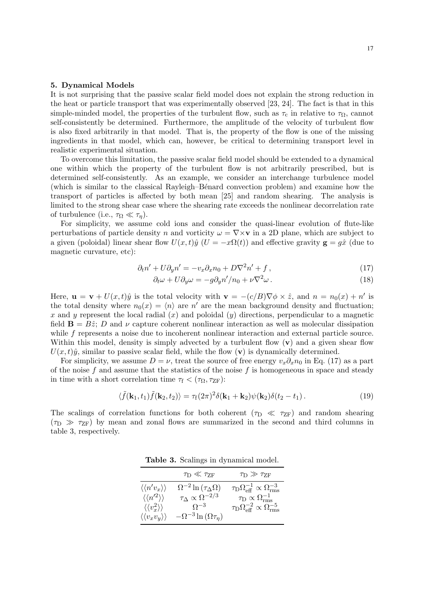#### **5. Dynamical Models**

It is not surprising that the passive scalar field model does not explain the strong reduction in the heat or particle transport that was experimentally observed [23, 24]. The fact is that in this simple-minded model, the properties of the turbulent flow, such as  $\tau_c$  in relative to  $\tau_{\Omega}$ , cannot self-consistently be determined. Furthermore, the amplitude of the velocity of turbulent flow is also fixed arbitrarily in that model. That is, the property of the flow is one of the missing ingredients in that model, which can, however, be critical to determining transport level in realistic experimental situation.

To overcome this limitation, the passive scalar field model should be extended to a dynamical one within which the property of the turbulent flow is not arbitrarily prescribed, but is determined self-consistently. As an example, we consider an interchange turbulence model (which is similar to the classical Rayleigh–B´enard convection problem) and examine how the transport of particles is affected by both mean [25] and random shearing. The analysis is limited to the strong shear case where the shearing rate exceeds the nonlinear decorrelation rate of turbulence (i.e.,  $\tau_{\Omega} \ll \tau_{\eta}$ ).

For simplicity, we assume cold ions and consider the quasi-linear evolution of flute-like perturbations of particle density n and vorticity  $\omega = \nabla \times \mathbf{v}$  in a 2D plane, which are subject to a given (poloidal) linear shear flow  $U(x, t)\hat{y}$  ( $U = -x\Omega(t)$ ) and effective gravity  $\mathbf{g} = g\hat{x}$  (due to magnetic curvature, etc):

$$
\partial_t n' + U \partial_y n' = -v_x \partial_x n_0 + D \nabla^2 n' + f \,, \tag{17}
$$

$$
\partial_t \omega + U \partial_y \omega = -g \partial_y n'/n_0 + \nu \nabla^2 \omega \,. \tag{18}
$$

Here,  $\mathbf{u} = \mathbf{v} + U(x, t)\hat{y}$  is the total velocity with  $\mathbf{v} = -(c/B)\nabla\phi \times \hat{z}$ , and  $n = n_0(x) + n'$  is the total density where  $n_0(x) = \langle n \rangle$  are  $n'$  are the mean background density and fluctuation; x and y represent the local radial  $(x)$  and poloidal  $(y)$  directions, perpendicular to a magnetic field  $\mathbf{B} = B\hat{z}$ ; D and  $\nu$  capture coherent nonlinear interaction as well as molecular dissipation while f represents a noise due to incoherent nonlinear interaction and external particle source. Within this model, density is simply advected by a turbulent flow  $(v)$  and a given shear flow  $U(x, t)\hat{y}$ , similar to passive scalar field, while the flow (**v**) is dynamically determined.

For simplicity, we assume  $D = \nu$ , treat the source of free energy  $v_x \partial_x n_0$  in Eq. (17) as a part of the noise  $f$  and assume that the statistics of the noise  $f$  is homogeneous in space and steady in time with a short correlation time  $\tau_f < (\tau_{\Omega}, \tau_{\text{ZF}})$ :

$$
\langle \tilde{f}(\mathbf{k}_1, t_1) \tilde{f}(\mathbf{k}_2, t_2) \rangle = \tau_f (2\pi)^2 \delta(\mathbf{k}_1 + \mathbf{k}_2) \psi(\mathbf{k}_2) \delta(t_2 - t_1).
$$
 (19)

The scalings of correlation functions for both coherent ( $\tau_D \ll \tau_{ZF}$ ) and random shearing  $(\tau_D \gg \tau_{\rm ZF})$  by mean and zonal flows are summarized in the second and third columns in table 3, respectively.

**Table 3.** Scalings in dynamical model.

|                                           | $\tau_{\rm D} \ll \tau_{\rm ZF}$         | $\tau_{\rm D} \gg \tau_{\rm ZF}$                                |
|-------------------------------------------|------------------------------------------|-----------------------------------------------------------------|
| $\langle\langle n'v_x\rangle\rangle$      | $\Omega^{-2} \ln (\tau_{\Delta} \Omega)$ | $\tau_{\rm D}\Omega_{\rm eff}^{-1}\propto\Omega_{\rm rms}^{-3}$ |
| $\langle \langle n'^2 \rangle \rangle$    | $\tau_{\Delta} \propto \Omega^{-2/3}$    | $\tau_{\rm D} \propto \Omega_{\rm rms}^{-1}$                    |
| $\langle \langle v_x^2 \rangle \rangle$   | $\Omega^{-3}$                            | $\tau_{\rm D}\Omega_{\rm eff}^{-2}\propto\Omega_{\rm rms}^{-5}$ |
| $\langle \langle v_x v_y \rangle \rangle$ | $-\Omega^{-3} \ln(\Omega \tau_{\eta})$   |                                                                 |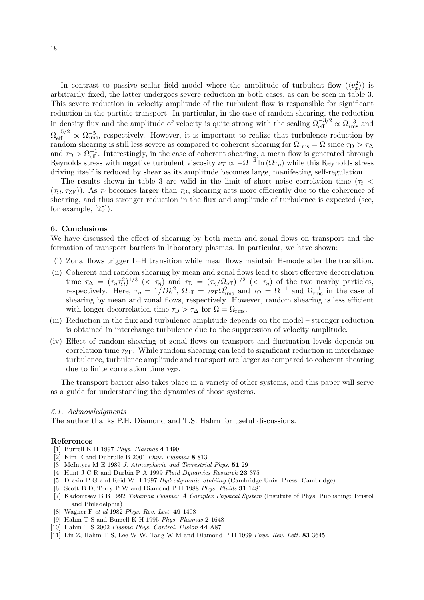In contrast to passive scalar field model where the amplitude of turbulent flow  $(\langle v_x^2 \rangle)$  is arbitrarily fixed, the latter undergoes severe reduction in both cases, as can be seen in table 3. This severe reduction in velocity amplitude of the turbulent flow is responsible for significant reduction in the particle transport. In particular, in the case of random shearing, the reduction in density flux and the amplitude of velocity is quite strong with the scaling  $\Omega_{\text{eff}}^{-3/2} \propto \Omega_{\text{rms}}^{-3}$  and  $\Omega_{\text{eff}}^{-5/2} \propto \Omega_{\text{rms}}^{-5}$ , respectively. However, it is important to realize that turbulence reduction by random shearing is still less severe as compared to coherent shearing for  $\Omega_{\rm rms} = \Omega$  since  $\tau_{\rm D} > \tau_{\Delta}$ and  $\tau_{\rm D} > \Omega_{\rm eff}^{-1}$ . Interestingly, in the case of coherent shearing, a mean flow is generated through Reynolds stress with negative turbulent viscosity  $\nu_T \propto -\Omega^{-4} \ln(\Omega \tau_n)$  while this Reynolds stress driving itself is reduced by shear as its amplitude becomes large, manifesting self-regulation.

The results shown in table 3 are valid in the limit of short noise correlation time ( $\tau_f$  <  $(\tau_{\Omega}, \tau_{\text{ZF}})$ ). As  $\tau_{\text{f}}$  becomes larger than  $\tau_{\Omega}$ , shearing acts more efficiently due to the coherence of shearing, and thus stronger reduction in the flux and amplitude of turbulence is expected (see, for example, [25]).

#### **6. Conclusions**

We have discussed the effect of shearing by both mean and zonal flows on transport and the formation of transport barriers in laboratory plasmas. In particular, we have shown:

- (i) Zonal flows trigger L–H transition while mean flows maintain H-mode after the transition.
- (ii) Coherent and random shearing by mean and zonal flows lead to short effective decorrelation time  $\tau_{\Delta} = (\tau_{\eta} \tau_{\Omega}^2)^{1/3}$  (<  $\tau_{\eta}$ ) and  $\tau_{\Omega} = (\tau_{\eta}/\Omega_{\text{eff}})^{1/2}$  (<  $\tau_{\eta}$ ) of the two nearby particles, respectively. Here,  $\tau_{\eta} = 1/Dk^2$ ,  $\Omega_{\text{eff}} = \tau_{\text{ZF}} \Omega_{\text{rms}}^2$  and  $\tau_{\Omega} = \Omega^{-1}$  and  $\Omega_{\text{rms}}^{-1}$  in the case of shearing by mean and zonal flows, respectively. However, random shearing is less efficient with longer decorrelation time  $\tau_D > \tau_{\Delta}$  for  $\Omega = \Omega_{\text{rms}}$ .
- (iii) Reduction in the flux and turbulence amplitude depends on the model stronger reduction is obtained in interchange turbulence due to the suppression of velocity amplitude.
- (iv) Effect of random shearing of zonal flows on transport and fluctuation levels depends on correlation time  $\tau_{ZF}$ . While random shearing can lead to significant reduction in interchange turbulence, turbulence amplitude and transport are larger as compared to coherent shearing due to finite correlation time  $\tau_{\text{ZF}}$ .

The transport barrier also takes place in a variety of other systems, and this paper will serve as a guide for understanding the dynamics of those systems.

#### *6.1. Acknowledgments*

The author thanks P.H. Diamond and T.S. Hahm for useful discussions.

#### **References**

- [1] Burrell K H 1997 *Phys. Plasmas* **4** 1499
- [2] Kim E and Dubrulle B 2001 *Phys. Plasmas* **8** 813
- [3] McIntyre M E 1989 *J. Atmospheric and Terrestrial Phys.* **51** 29
- [4] Hunt J C R and Durbin P A 1999 *Fluid Dynamics Research* **23** 375
- [5] Drazin P G and Reid W H 1997 *Hydrodynamic Stability* (Cambridge Univ. Press: Cambridge)
- [6] Scott B D, Terry P W and Diamond P H 1988 *Phys. Fluids* **31** 1481
- [7] Kadomtsev B B 1992 *Tokamak Plasma: A Complex Physical System* (Institute of Phys. Publishing: Bristol and Philadelphia)
- [8] Wagner F *et al* 1982 *Phys. Rev. Lett.* **49** 1408
- [9] Hahm T S and Burrell K H 1995 *Phys. Plasmas* **2** 1648
- [10] Hahm T S 2002 *Plasma Phys. Control. Fusion* **44** A87
- [11] Lin Z, Hahm T S, Lee W W, Tang W M and Diamond P H 1999 *Phys. Rev. Lett.* **83** 3645